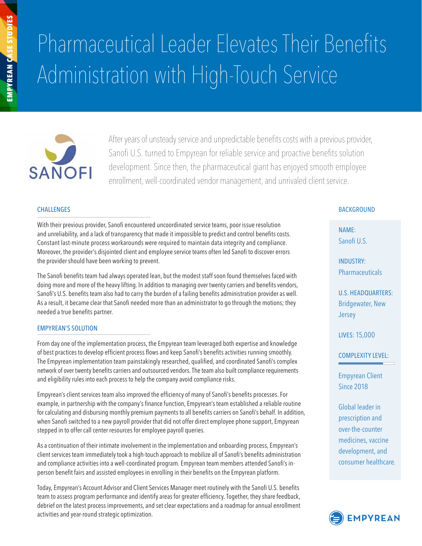# Pharmaceutical Leader Elevates Their Benefits Administration with High-Touch Service



After years of unsteady service and unpredictable benefits costs with a previous provider, Sanofi U.S. turned to Empyrean for reliable service and proactive benefits solution development. Since then, the pharmaceutical giant has enjoyed smooth employee enrollment, well-coordinated vendor management, and unrivaled client service.

#### **CHALLENGES**

With their previous provider, Sanofi encountered uncoordinated service teams, poor issue resolution and unreliability, and a lack of transparency that made it impossible to predict and control benefits costs. Constant last-minute process workarounds were required to maintain data integrity and compliance. Moreover, the provider's disjointed client and employee service teams often led Sanofi to discover errors the provider should have been working to prevent.

The Sanofi benefits team had always operated lean, but the modest staff soon found themselves faced with doing more and more of the heavy lifting. In addition to managing over twenty carriers and benefits vendors, Sanofi's U.S. benefits team also had to carry the burden of a failing benefits administration provider as well. As a result, it became clear that Sanofi needed more than an administrator to go through the motions; they needed a true benefits partner.

## EMPYREAN'S SOLUTION

From day one of the implementation process, the Empyrean team leveraged both expertise and knowledge of best practices to develop efficient process flows and keep Sanofi's benefits activities running smoothly. The Empyrean implementation team painstakingly researched, qualified, and coordinated Sanofi's complex network of over twenty benefits carriers and outsourced vendors. The team also built compliance requirements and eligibility rules into each process to help the company avoid compliance risks.

Empyrean's client services team also improved the efficiency of many of Sanofi's benefits processes. For example, in partnership with the company's finance function, Empyrean's team established a reliable routine for calculating and disbursing monthly premium payments to all benefits carriers on Sanofi's behalf. In addition, when Sanofi switched to a new payroll provider that did not offer direct employee phone support, Empyrean stepped in to offer call center resources for employee payroll queries.

As a continuation of their intimate involvement in the implementation and onboarding process, Empyrean's client services team immediately took a high-touch approach to mobilize all of Sanofi's benefits administration and compliance activities into a well-coordinated program. Empyrean team members attended Sanofi's inperson benefit fairs and assisted employees in enrolling in their benefits on the Empyrean platform.

Today, Empyrean's Account Advisor and Client Services Manager meet routinely with the Sanofi U.S. benefits team to assess program performance and identify areas for greater efficiency. Together, they share feedback, debrief on the latest process improvements, and set clear expectations and a roadmap for annual enrollment activities and year-round strategic optimization.

## **BACKGROUND**

NAME: Sanofi II S

INDUSTRY: Pharmaceuticals

U.S. HEADQUARTERS: Bridgewater, New Jersey

LIVES: 15,000

COMPLEXITY LEVEL:

Empyrean Client Since 2018

Global leader in prescription and over-the-counter medicines, vaccine development, and consumer healthcare.